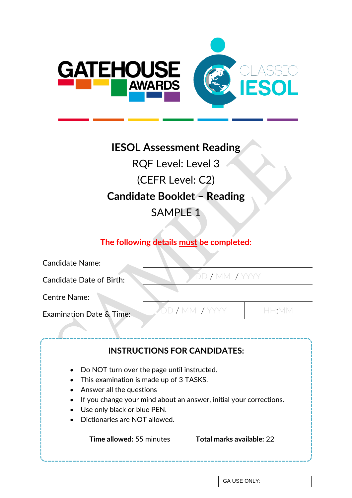

# **IESOL Assessment Reading**

RQF Level: Level 3 (CEFR Level: C2) **Candidate Booklet – Reading** SAMPLE 1

# **The following details must be completed:**

| <b>Candidate Name:</b>                                                                                                                                                                                                                                                                                                                                                                    |  |  |  |  |
|-------------------------------------------------------------------------------------------------------------------------------------------------------------------------------------------------------------------------------------------------------------------------------------------------------------------------------------------------------------------------------------------|--|--|--|--|
| DD / MM / YYYY<br><b>Candidate Date of Birth:</b>                                                                                                                                                                                                                                                                                                                                         |  |  |  |  |
| <b>Centre Name:</b>                                                                                                                                                                                                                                                                                                                                                                       |  |  |  |  |
| DD / MM / YYYY<br>HH:MM<br><b>Examination Date &amp; Time:</b>                                                                                                                                                                                                                                                                                                                            |  |  |  |  |
| <b>INSTRUCTIONS FOR CANDIDATES:</b><br>Do NOT turn over the page until instructed.<br>This examination is made up of 3 TASKS.<br>Answer all the questions<br>$\bullet$<br>If you change your mind about an answer, initial your corrections.<br>Use only black or blue PEN.<br>$\bullet$<br>Dictionaries are NOT allowed.<br><b>Time allowed:</b> 55 minutes<br>Total marks available: 22 |  |  |  |  |

GA USE ONLY: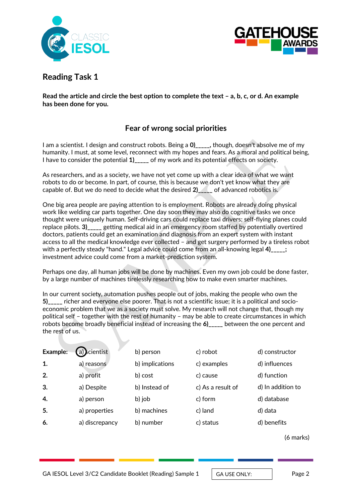



# **Reading Task 1**

**Read the article and circle the best option to complete the text – a, b, c, or d. An example has been done for you.**

# **Fear of wrong social priorities**

I am a scientist. I design and construct robots. Being a **0)\_\_\_\_\_,** though, doesn't absolve me of my humanity. I must, at some level, reconnect with my hopes and fears. As a moral and political being, I have to consider the potential **1)\_\_\_\_\_** of my work and its potential effects on society.

As researchers, and as a society, we have not yet come up with a clear idea of what we want robots to do or become. In part, of course, this is because we don't yet know what they are capable of. But we do need to decide what the desired **2)\_\_\_\_\_** of advanced robotics is.

One big area people are paying attention to is employment. Robots are already doing physical work like welding car parts together. One day soon they may also do cognitive tasks we once thought were uniquely human. Self-driving cars could replace taxi drivers; self-flying planes could replace pilots. **3)\_\_\_\_\_** getting medical aid in an emergency room staffed by potentially overtired doctors, patients could get an examination and diagnosis from an expert system with instant access to all the medical knowledge ever collected – and get surgery performed by a tireless robot with a perfectly steady "hand." Legal advice could come from an all-knowing legal 4)  $\qquad$ ; investment advice could come from a market-prediction system.

Perhaps one day, all human jobs will be done by machines. Even my own job could be done faster, by a large number of machines tirelessly researching how to make even smarter machines.

In our current society, automation pushes people out of jobs, making the people who own the **5)\_\_\_\_\_** richer and everyone else poorer. That is not a scientific issue; it is a political and socioeconomic problem that we as a society must solve. My research will not change that, though my political self – together with the rest of humanity – may be able to create circumstances in which robots become broadly beneficial instead of increasing the **6)\_\_\_\_\_** between the one percent and the rest of us.

| Example: | a) cientist    | b) person       | c) robot          | d) constructor    |
|----------|----------------|-----------------|-------------------|-------------------|
| 1.       | a) reasons     | b) implications | c) examples       | d) influences     |
| 2.       | a) profit      | b) cost         | c) cause          | d) function       |
| 3.       | a) Despite     | b) Instead of   | c) As a result of | d) In addition to |
| 4.       | a) person      | b) job          | c) form           | d) database       |
| 5.       | a) properties  | b) machines     | c) land           | d) data           |
| 6.       | a) discrepancy | b) number       | c) status         | d) benefits       |

(6 marks)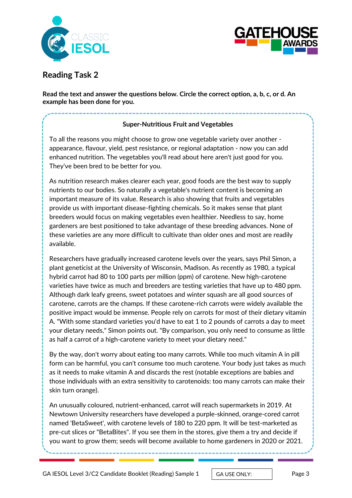



**Reading Task 2**

**Read the text and answer the questions below. Circle the correct option, a, b, c, or d. An example has been done for you.**

# **Super-Nutritious Fruit and Vegetables**

To all the reasons you might choose to grow one vegetable variety over another appearance, flavour, yield, pest resistance, or regional adaptation - now you can add enhanced nutrition. The vegetables you'll read about here aren't just good for you. They've been bred to be better for you.

As nutrition research makes clearer each year, good foods are the best way to supply nutrients to our bodies. So naturally a vegetable's nutrient content is becoming an important measure of its value. Research is also showing that fruits and vegetables provide us with important disease-fighting chemicals. So it makes sense that plant breeders would focus on making vegetables even healthier. Needless to say, home gardeners are best positioned to take advantage of these breeding advances. None of these varieties are any more difficult to cultivate than older ones and most are readily available.

Researchers have gradually increased carotene levels over the years, says Phil Simon, a plant geneticist at the University of Wisconsin, Madison. As recently as 1980, a typical hybrid carrot had 80 to 100 parts per million (ppm) of carotene. New high-carotene varieties have twice as much and breeders are testing varieties that have up to 480 ppm. Although dark leafy greens, sweet potatoes and winter squash are all good sources of carotene, carrots are the champs. If these carotene-rich carrots were widely available the positive impact would be immense. People rely on carrots for most of their dietary vitamin A. "With some standard varieties you'd have to eat 1 to 2 pounds of carrots a day to meet your dietary needs," Simon points out. "By comparison, you only need to consume as little as half a carrot of a high-carotene variety to meet your dietary need."

By the way, don't worry about eating too many carrots. While too much vitamin A in pill form can be harmful, you can't consume too much carotene. Your body just takes as much as it needs to make vitamin A and discards the rest (notable exceptions are babies and those individuals with an extra sensitivity to carotenoids: too many carrots can make their skin turn orange).

An unusually coloured, nutrient-enhanced, carrot will reach supermarkets in 2019. At Newtown University researchers have developed a purple-skinned, orange-cored carrot named 'BetaSweet', with carotene levels of 180 to 220 ppm. It will be test-marketed as pre-cut slices or "BetaBites". If you see them in the stores, give them a try and decide if you want to grow them; seeds will become available to home gardeners in 2020 or 2021.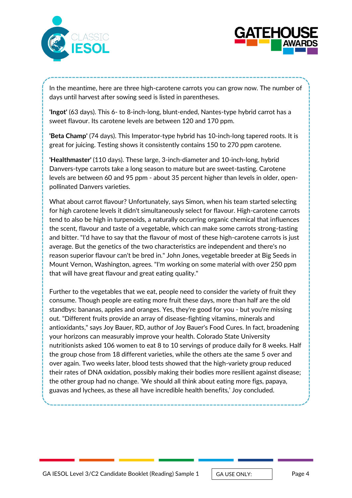



In the meantime, here are three high-carotene carrots you can grow now. The number of days until harvest after sowing seed is listed in parentheses.

**'Ingot'** (63 days). This 6- to 8-inch-long, blunt-ended, Nantes-type hybrid carrot has a sweet flavour. Its carotene levels are between 120 and 170 ppm.

**'Beta Champ'** (74 days). This Imperator-type hybrid has 10-inch-long tapered roots. It is great for juicing. Testing shows it consistently contains 150 to 270 ppm carotene.

**'Healthmaster'** (110 days). These large, 3-inch-diameter and 10-inch-long, hybrid Danvers-type carrots take a long season to mature but are sweet-tasting. Carotene levels are between 60 and 95 ppm - about 35 percent higher than levels in older, openpollinated Danvers varieties.

What about carrot flavour? Unfortunately, says Simon, when his team started selecting for high carotene levels it didn't simultaneously select for flavour. High-carotene carrots tend to also be high in turpenoids, a naturally occurring organic chemical that influences the scent, flavour and taste of a vegetable, which can make some carrots strong-tasting and bitter. "I'd have to say that the flavour of most of these high-carotene carrots is just average. But the genetics of the two characteristics are independent and there's no reason superior flavour can't be bred in." John Jones, vegetable breeder at Big Seeds in Mount Vernon, Washington, agrees. "I'm working on some material with over 250 ppm that will have great flavour and great eating quality."

Further to the vegetables that we eat, people need to consider the variety of fruit they consume. Though people are eating more fruit these days, more than half are the old standbys: bananas, apples and oranges. Yes, they're good for you - but you're missing out. "Different fruits provide an array of disease-fighting vitamins, minerals and antioxidants," says Joy Bauer, RD, author of Joy Bauer's Food Cures. In fact, broadening your horizons can measurably improve your health. Colorado State University nutritionists asked 106 women to eat 8 to 10 servings of produce daily for 8 weeks. Half the group chose from 18 different varieties, while the others ate the same 5 over and over again. Two weeks later, blood tests showed that the high-variety group reduced their rates of DNA oxidation, possibly making their bodies more resilient against disease; the other group had no change. 'We should all think about eating more figs, papaya, guavas and lychees, as these all have incredible health benefits,' Joy concluded.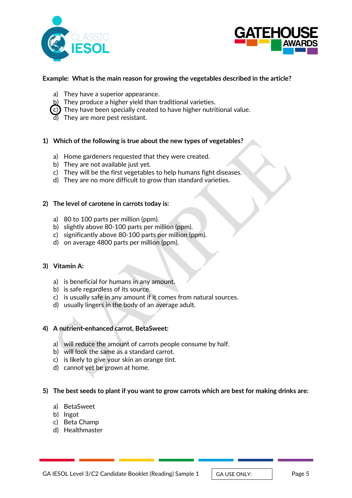



## **Example: What is the main reason for growing the vegetables described in the article?**

- a) They have a superior appearance.
- b) They produce a higher yield than traditional varieties.
- $\zeta$ c)) They have been specially created to have higher nutritional value.
- $\overline{d}$ ) They are more pest resistant.

## **1) Which of the following is true about the new types of vegetables?**

- a) Home gardeners requested that they were created.
- b) They are not available just yet.
- c) They will be the first vegetables to help humans fight diseases.
- d) They are no more difficult to grow than standard varieties.

#### **2) The level of carotene in carrots today is:**

- a) 80 to 100 parts per million (ppm).
- b) slightly above 80-100 parts per million (ppm).
- c) significantly above 80-100 parts per million (ppm).
- d) on average 4800 parts per million (ppm).

#### **3) Vitamin A:**

- a) is beneficial for humans in any amount.
- b) is safe regardless of its source.
- c) is usually safe in any amount if it comes from natural sources.
- d) usually lingers in the body of an average adult.

#### **4) A nutrient-enhanced carrot, BetaSweet:**

- a) will reduce the amount of carrots people consume by half.
- b) will look the same as a standard carrot.
- c) is likely to give your skin an orange tint.
- d) cannot yet be grown at home.

#### **5) The best seeds to plant if you want to grow carrots which are best for making drinks are:**

- a) BetaSweet
- b) Ingot
- c) Beta Champ
- d) Healthmaster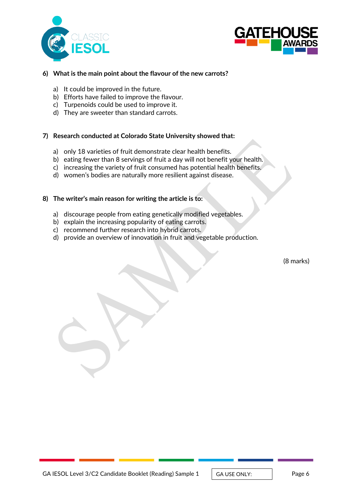



## **6) What is the main point about the flavour of the new carrots?**

- a) It could be improved in the future.
- b) Efforts have failed to improve the flavour.
- c) Turpenoids could be used to improve it.
- d) They are sweeter than standard carrots.

## **7) Research conducted at Colorado State University showed that:**

- a) only 18 varieties of fruit demonstrate clear health benefits.
- b) eating fewer than 8 servings of fruit a day will not benefit your health.
- c) increasing the variety of fruit consumed has potential health benefits.
- d) women's bodies are naturally more resilient against disease.

## **8) The writer's main reason for writing the article is to:**

- a) discourage people from eating genetically modified vegetables.
- b) explain the increasing popularity of eating carrots.
- c) recommend further research into hybrid carrots.
- d) provide an overview of innovation in fruit and vegetable production.

(8 marks)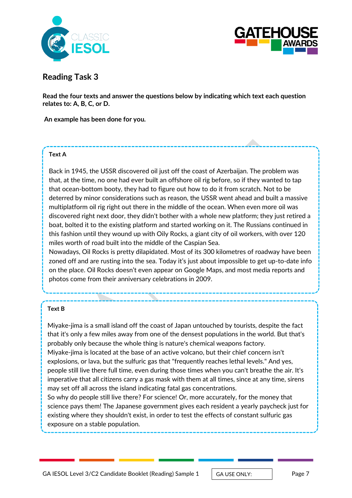



# **Reading Task 3**

**Read the four texts and answer the questions below by indicating which text each question relates to: A, B, C, or D.** 

**An example has been done for you.**

#### **Text A**

Back in 1945, the USSR discovered oil just off the coast of Azerbaijan. The problem was that, at the time, no one had ever built an offshore oil rig before, so if they wanted to tap that ocean-bottom booty, they had to figure out how to do it from scratch. Not to be deterred by minor considerations such as reason, the USSR went ahead and built a massive multiplatform oil rig right out there in the middle of the ocean. When even more oil was discovered right next door, they didn't bother with a whole new platform; they just retired a boat, bolted it to the existing platform and started working on it. The Russians continued in this fashion until they wound up with Oily Rocks, a giant city of oil workers, with over 120 miles worth of road built into the middle of the Caspian Sea.

Nowadays, Oil Rocks is pretty dilapidated. Most of its [300 kilometres of roadway have been](http://www.spiegel.de/international/world/exploring-the-crumbling-soviet-oil-platform-city-of-neft-dashlari-a-867055.html) [zoned off](http://www.spiegel.de/international/world/exploring-the-crumbling-soviet-oil-platform-city-of-neft-dashlari-a-867055.html) and are rusting into the sea. Today it's just about impossible to get up-to-date info on the place. Oil Rocks doesn't even appear on [Google Maps,](https://www.google.com.au/maps/place/40%C2%B012) and most media reports and photos come from their anniversary celebrations in 2009.

#### **Text B**

Miyake-jima is a small island off the coast of Japan untouched by tourists, despite the fact that it's only a few miles away from one of the densest populations in the world. But that's probably only because the whole thing is nature's chemical weapons factory. Miyake-jima is located at the base of an active volcano, but their chief concern isn't explosions, or lava, but the sulfuric gas that "frequently reaches lethal levels." And yes, people still live there full time, even during those times when you can't breathe the air. It's imperative that all citizens carry a gas mask with them at all times, since at any time, sirens may set off all across the island indicating fatal gas concentrations.

So why do people still live there? For science! Or, more accurately, for the money that science pays them! The Japanese government gives each resident a yearly paycheck just for existing where they shouldn't exist, in order to test the effects of constant sulfuric gas exposure on a stable population.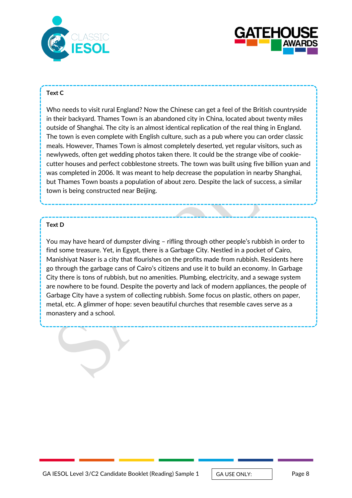



#### **Text C**

Who needs to visit rural England? Now the Chinese can get a feel of the British countryside in their backyard. Thames Town is an abandoned city in China, located about twenty miles outside of Shanghai. The city is an almost identical replication of the real thing in England. The town is even complete with English culture, such as a pub where you can order classic meals. However, Thames Town is almost completely deserted, yet regular visitors, such as newlyweds, often get wedding photos taken there. It could be the strange vibe of cookiecutter houses and perfect cobblestone streets. The town was built using five billion yuan and was completed in 2006. It was meant to help decrease the population in nearby Shanghai, but Thames Town boasts a population of about zero. Despite the lack of success, a similar town is being constructed near Beijing.

## **Text D**

You may have heard of dumpster diving – rifling through other people's rubbish in order to find some treasure. Yet, in Egypt, there is a Garbage City. Nestled in a pocket of Cairo, Manishiyat Naser is a city that flourishes on the profits made from rubbish. Residents here go through the garbage cans of Cairo's citizens and use it to build an economy. In Garbage City there is tons of rubbish, but no amenities. Plumbing, electricity, and a sewage system are nowhere to be found. Despite the poverty and lack of modern appliances, the people of Garbage City have a system of collecting rubbish. Some focus on plastic, others on paper, metal, etc. A glimmer of hope: seven beautiful churches that resemble caves serve as a monastery and a school.